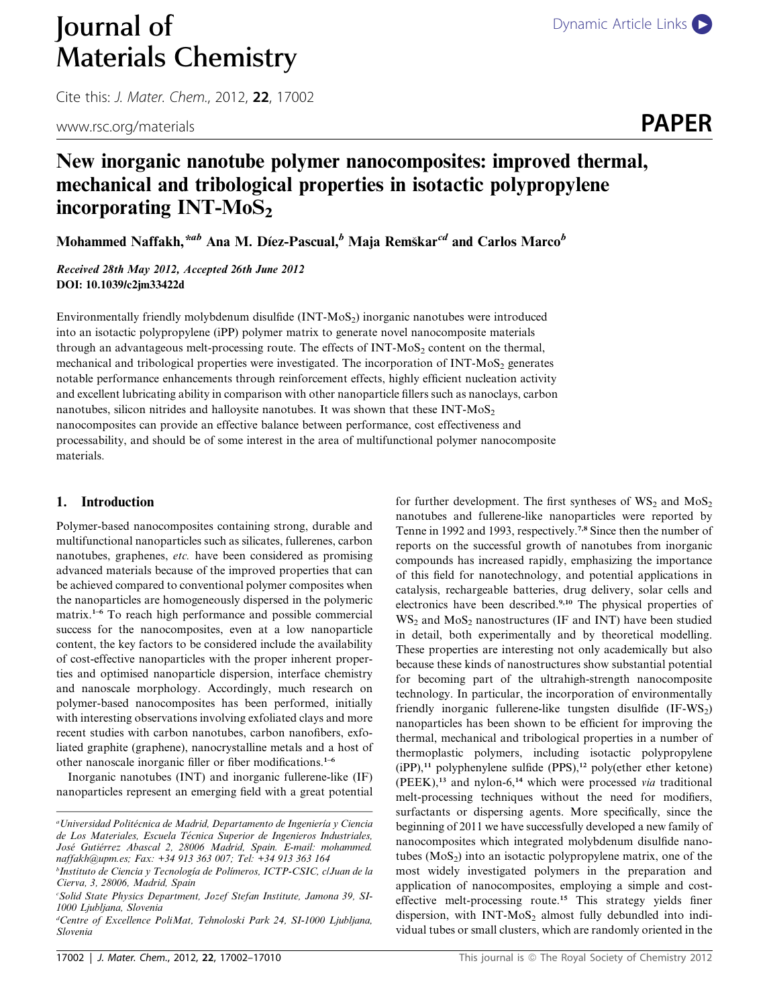# **Journal of** [Dynamic Article Links](http://dx.doi.org/10.1039/c2jm33422d) Materials Chemistry

Cite this: J. Mater. Chem., 2012, <sup>22</sup>, 17002

www.rsc.org/materials **PAPER** 

## New inorganic nanotube polymer nanocomposites: improved thermal, mechanical and tribological properties in isotactic polypropylene incorporating  $INT-MoS<sub>2</sub>$

Mohammed Naffakh,  $*ab$  Ana M. Díez-Pascual, $b$  Maja Remškar $c^d$  and Carlos Marco $^b$ 

Received 28th May 2012, Accepted 26th June 2012 DOI: 10.1039/c2jm33422d

Environmentally friendly molybdenum disulfide (INT-MoS<sub>2</sub>) inorganic nanotubes were introduced into an isotactic polypropylene (iPP) polymer matrix to generate novel nanocomposite materials through an advantageous melt-processing route. The effects of  $INT-MoS<sub>2</sub>$  content on the thermal, mechanical and tribological properties were investigated. The incorporation of INT-MoS<sub>2</sub> generates notable performance enhancements through reinforcement effects, highly efficient nucleation activity and excellent lubricating ability in comparison with other nanoparticle fillers such as nanoclays, carbon nanotubes, silicon nitrides and halloysite nanotubes. It was shown that these  $INT-MoS<sub>2</sub>$ nanocomposites can provide an effective balance between performance, cost effectiveness and processability, and should be of some interest in the area of multifunctional polymer nanocomposite materials.

#### 1. Introduction

Polymer-based nanocomposites containing strong, durable and multifunctional nanoparticles such as silicates, fullerenes, carbon nanotubes, graphenes, etc. have been considered as promising advanced materials because of the improved properties that can be achieved compared to conventional polymer composites when the nanoparticles are homogeneously dispersed in the polymeric matrix.<sup>1-6</sup> To reach high performance and possible commercial success for the nanocomposites, even at a low nanoparticle content, the key factors to be considered include the availability of cost-effective nanoparticles with the proper inherent properties and optimised nanoparticle dispersion, interface chemistry and nanoscale morphology. Accordingly, much research on polymer-based nanocomposites has been performed, initially with interesting observations involving exfoliated clays and more recent studies with carbon nanotubes, carbon nanofibers, exfoliated graphite (graphene), nanocrystalline metals and a host of other nanoscale inorganic filler or fiber modifications.1–6

Inorganic nanotubes (INT) and inorganic fullerene-like (IF) nanoparticles represent an emerging field with a great potential

d Centre of Excellence PoliMat, Tehnoloski Park 24, SI-1000 Ljubljana, Slovenia

nanotubes and fullerene-like nanoparticles were reported by Tenne in 1992 and 1993, respectively.7,8 Since then the number of reports on the successful growth of nanotubes from inorganic compounds has increased rapidly, emphasizing the importance of this field for nanotechnology, and potential applications in catalysis, rechargeable batteries, drug delivery, solar cells and electronics have been described.9,10 The physical properties of  $WS<sub>2</sub>$  and MoS<sub>2</sub> nanostructures (IF and INT) have been studied in detail, both experimentally and by theoretical modelling. These properties are interesting not only academically but also because these kinds of nanostructures show substantial potential for becoming part of the ultrahigh-strength nanocomposite technology. In particular, the incorporation of environmentally friendly inorganic fullerene-like tungsten disulfide (IF-WS<sub>2</sub>) nanoparticles has been shown to be efficient for improving the thermal, mechanical and tribological properties in a number of thermoplastic polymers, including isotactic polypropylene  $(iPP)$ ,<sup>11</sup> polyphenylene sulfide (PPS),<sup>12</sup> poly(ether ether ketone)  $(PEEK),<sup>13</sup>$  and nylon-6,<sup>14</sup> which were processed *via* traditional melt-processing techniques without the need for modifiers, surfactants or dispersing agents. More specifically, since the beginning of 2011 we have successfully developed a new family of nanocomposites which integrated molybdenum disulfide nanotubes  $(MoS<sub>2</sub>)$  into an isotactic polypropylene matrix, one of the most widely investigated polymers in the preparation and application of nanocomposites, employing a simple and costeffective melt-processing route.<sup>15</sup> This strategy yields finer dispersion, with  $INT-MoS<sub>2</sub>$  almost fully debundled into individual tubes or small clusters, which are randomly oriented in the

for further development. The first syntheses of  $WS_2$  and  $MoS_2$ 

<sup>&</sup>lt;sup>a</sup>Universidad Politécnica de Madrid, Departamento de Ingeniería y Ciencia de Los Materiales, Escuela Técnica Superior de Ingenieros Industriales, José Gutiérrez Abascal 2, 28006 Madrid, Spain. E-mail: mohammed. naffakh@upm.es; Fax: +34 913 363 007; Tel: +34 913 363 164

<sup>&</sup>lt;sup>b</sup>Instituto de Ciencia y Tecnología de Polímeros, ICTP-CSIC, c|Juan de la Cierva, 3, 28006, Madrid, Spain

c Solid State Physics Department, Jozef Stefan Institute, Jamona 39, SI-1000 Ljubljana, Slovenia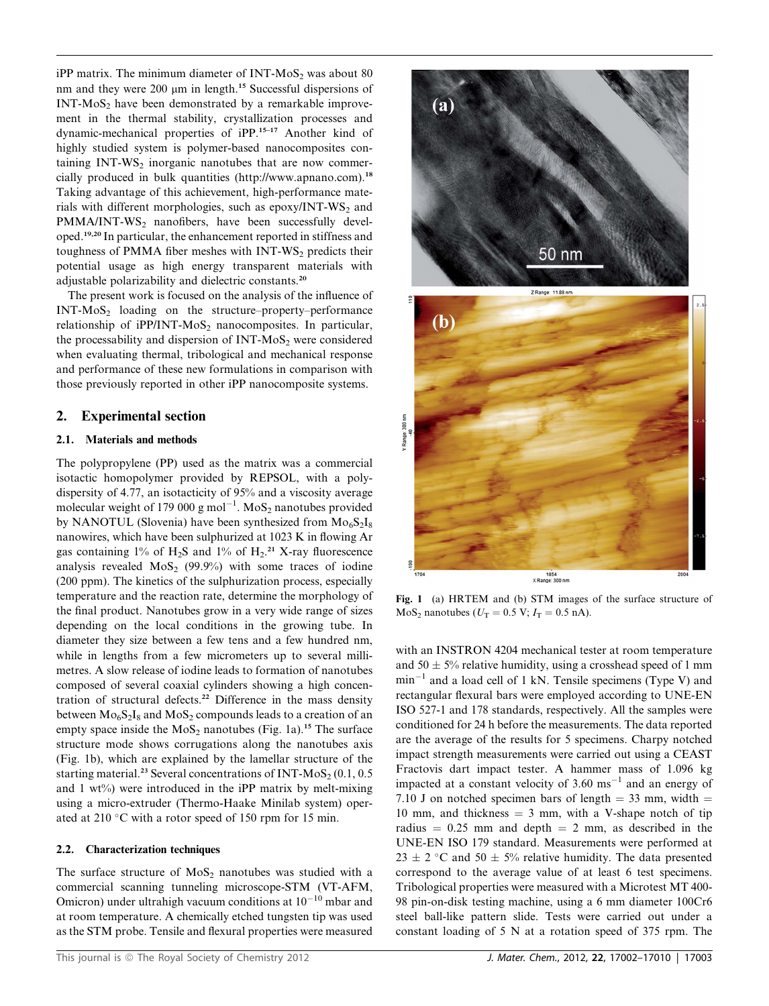$iPP$  matrix. The minimum diameter of INT-MoS<sub>2</sub> was about 80 nm and they were 200  $\mu$ m in length.<sup>15</sup> Successful dispersions of  $INT-MoS<sub>2</sub>$  have been demonstrated by a remarkable improvement in the thermal stability, crystallization processes and dynamic-mechanical properties of iPP.15–17 Another kind of highly studied system is polymer-based nanocomposites containing  $INT-WS<sub>2</sub>$  inorganic nanotubes that are now commercially produced in bulk quantities (http://www.apnano.com).<sup>18</sup> Taking advantage of this achievement, high-performance materials with different morphologies, such as epoxy/INT-WS<sub>2</sub> and  $PMMA/INT-WS<sub>2</sub>$  nanofibers, have been successfully developed.19,20 In particular, the enhancement reported in stiffness and toughness of PMMA fiber meshes with  $INT-WS<sub>2</sub>$  predicts their potential usage as high energy transparent materials with adjustable polarizability and dielectric constants.<sup>20</sup>

The present work is focused on the analysis of the influence of  $INT-MoS<sub>2</sub>$  loading on the structure–property–performance relationship of iPP/INT- $MoS<sub>2</sub>$  nanocomposites. In particular, the processability and dispersion of INT-MoS<sub>2</sub> were considered when evaluating thermal, tribological and mechanical response and performance of these new formulations in comparison with those previously reported in other iPP nanocomposite systems.

### 2. Experimental section

#### 2.1. Materials and methods

The polypropylene (PP) used as the matrix was a commercial isotactic homopolymer provided by REPSOL, with a polydispersity of 4.77, an isotacticity of 95% and a viscosity average molecular weight of 179 000 g mol<sup>-1</sup>. MoS<sub>2</sub> nanotubes provided by NANOTUL (Slovenia) have been synthesized from  $Mo<sub>6</sub>S<sub>2</sub>I<sub>8</sub>$ nanowires, which have been sulphurized at 1023 K in flowing Ar gas containing  $1\%$  of H<sub>2</sub>S and  $1\%$  of H<sub>2</sub>.<sup>21</sup> X-ray fluorescence analysis revealed  $MoS<sub>2</sub>$  (99.9%) with some traces of iodine (200 ppm). The kinetics of the sulphurization process, especially temperature and the reaction rate, determine the morphology of the final product. Nanotubes grow in a very wide range of sizes depending on the local conditions in the growing tube. In diameter they size between a few tens and a few hundred nm, while in lengths from a few micrometers up to several millimetres. A slow release of iodine leads to formation of nanotubes composed of several coaxial cylinders showing a high concentration of structural defects.<sup>22</sup> Difference in the mass density between  $Mo<sub>6</sub>S<sub>2</sub>I<sub>8</sub>$  and  $MoS<sub>2</sub>$  compounds leads to a creation of an empty space inside the  $MoS<sub>2</sub>$  nanotubes (Fig. 1a).<sup>15</sup> The surface structure mode shows corrugations along the nanotubes axis (Fig. 1b), which are explained by the lamellar structure of the starting material.<sup>23</sup> Several concentrations of INT-MoS<sub>2</sub> (0.1, 0.5) and  $1 \text{ wt\%}$  were introduced in the iPP matrix by melt-mixing using a micro-extruder (Thermo-Haake Minilab system) operated at 210 °C with a rotor speed of 150 rpm for 15 min.

#### 2.2. Characterization techniques

The surface structure of  $MoS<sub>2</sub>$  nanotubes was studied with a commercial scanning tunneling microscope-STM (VT-AFM, Omicron) under ultrahigh vacuum conditions at  $10^{-10}$  mbar and at room temperature. A chemically etched tungsten tip was used as the STM probe. Tensile and flexural properties were measured



Fig. 1 (a) HRTEM and (b) STM images of the surface structure of  $MoS<sub>2</sub>$  nanotubes ( $U<sub>T</sub> = 0.5$  V;  $I<sub>T</sub> = 0.5$  nA).

with an INSTRON 4204 mechanical tester at room temperature and  $50 \pm 5\%$  relative humidity, using a crosshead speed of 1 mm  $min^{-1}$  and a load cell of 1 kN. Tensile specimens (Type V) and rectangular flexural bars were employed according to UNE-EN ISO 527-1 and 178 standards, respectively. All the samples were conditioned for 24 h before the measurements. The data reported are the average of the results for 5 specimens. Charpy notched impact strength measurements were carried out using a CEAST Fractovis dart impact tester. A hammer mass of 1.096 kg impacted at a constant velocity of  $3.60 \text{ ms}^{-1}$  and an energy of 7.10 J on notched specimen bars of length  $=$  33 mm, width  $=$ 10 mm, and thickness  $=$  3 mm, with a V-shape notch of tip radius  $= 0.25$  mm and depth  $= 2$  mm, as described in the UNE-EN ISO 179 standard. Measurements were performed at  $23 \pm 2$  °C and  $50 \pm 5$ % relative humidity. The data presented correspond to the average value of at least 6 test specimens. Tribological properties were measured with a Microtest MT 400- 98 pin-on-disk testing machine, using a 6 mm diameter 100Cr6 steel ball-like pattern slide. Tests were carried out under a constant loading of 5 N at a rotation speed of 375 rpm. The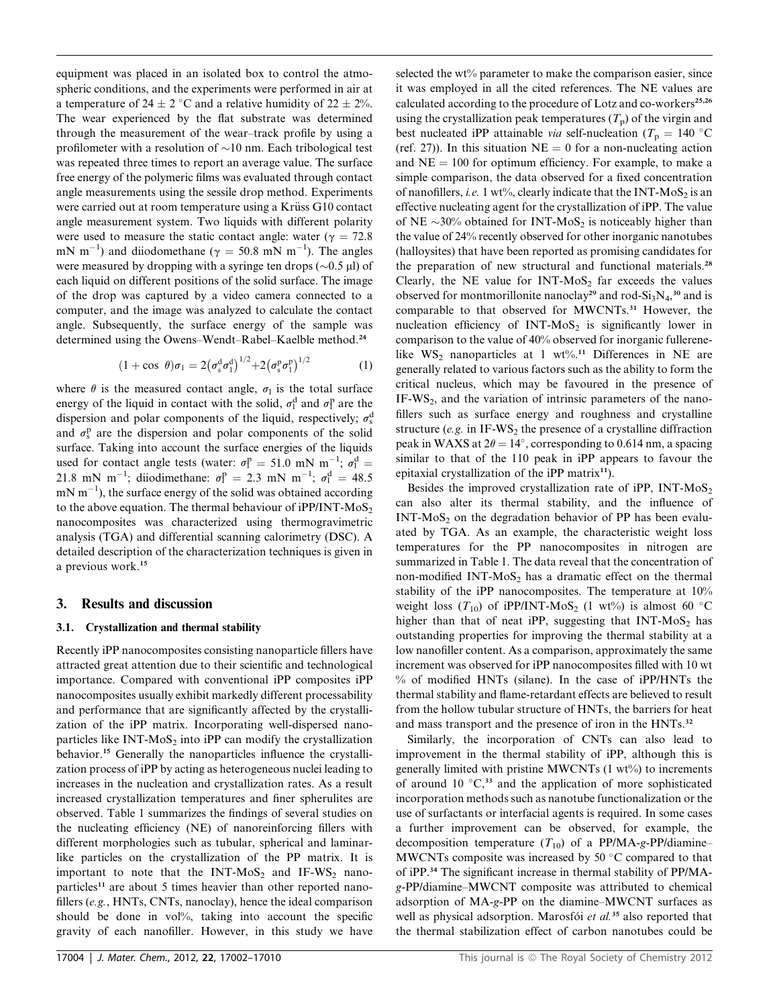equipment was placed in an isolated box to control the atmospheric conditions, and the experiments were performed in air at a temperature of  $24 \pm 2$  °C and a relative humidity of  $22 \pm 2\%$ . The wear experienced by the flat substrate was determined through the measurement of the wear–track profile by using a profilometer with a resolution of  $\sim 10$  nm. Each tribological test was repeated three times to report an average value. The surface free energy of the polymeric films was evaluated through contact angle measurements using the sessile drop method. Experiments were carried out at room temperature using a Krüss G10 contact angle measurement system. Two liquids with different polarity were used to measure the static contact angle: water ( $\gamma = 72.8$ ) mN m<sup>-1</sup>) and diiodomethane ( $\gamma = 50.8$  mN m<sup>-1</sup>). The angles were measured by dropping with a syringe ten drops ( $\sim$ 0.5 µl) of each liquid on different positions of the solid surface. The image of the drop was captured by a video camera connected to a computer, and the image was analyzed to calculate the contact angle. Subsequently, the surface energy of the sample was determined using the Owens–Wendt–Rabel–Kaelble method.<sup>24</sup>

$$
(1 + \cos \theta)\sigma_1 = 2(\sigma_s^d \sigma_1^d)^{1/2} + 2(\sigma_s^p \sigma_1^p)^{1/2}
$$
 (1)

where  $\theta$  is the measured contact angle,  $\sigma_1$  is the total surface energy of the liquid in contact with the solid,  $\sigma_1^d$  and  $\sigma_1^p$  are the dispersion and polar components of the liquid, respectively:  $\sigma_2^c$ dispersion and polar components of the liquid, respectively;  $\sigma_s^{\rm d}$ and  $\sigma_s^p$  are the dispersion and polar components of the solid surface. Taking into account the surface energies of the liquids surface. Taking into account the surface energies of the liquids used for contact angle tests (water:  $\sigma_l^p = 51.0$  mN m<sup>-1</sup>;  $\sigma_l^d = 21.8$  mN m<sup>-1</sup>; diodimethane:  $\sigma_l^p = 2.3$  mN m<sup>-1</sup>;  $\sigma_l^d = 48.5$ 21.8 mN m<sup>-1</sup>; diiodimethane:  $\sigma_l^p = 2.3$  mN m<sup>-1</sup>;  $\sigma_l^d = 48.5$ <br>mN m<sup>-1</sup>), the surface energy of the solid was obtained according  $mN m^{-1}$ ), the surface energy of the solid was obtained according to the above equation. The thermal behaviour of  $iPP/INT-MoS<sub>2</sub>$ nanocomposites was characterized using thermogravimetric analysis (TGA) and differential scanning calorimetry (DSC). A detailed description of the characterization techniques is given in a previous work.<sup>15</sup>

#### 3. Results and discussion

#### 3.1. Crystallization and thermal stability

Recently iPP nanocomposites consisting nanoparticle fillers have attracted great attention due to their scientific and technological importance. Compared with conventional iPP composites iPP nanocomposites usually exhibit markedly different processability and performance that are significantly affected by the crystallization of the iPP matrix. Incorporating well-dispersed nanoparticles like  $INT-MoS<sub>2</sub>$  into iPP can modify the crystallization behavior.<sup>15</sup> Generally the nanoparticles influence the crystallization process of iPP by acting as heterogeneous nuclei leading to increases in the nucleation and crystallization rates. As a result increased crystallization temperatures and finer spherulites are observed. Table 1 summarizes the findings of several studies on the nucleating efficiency (NE) of nanoreinforcing fillers with different morphologies such as tubular, spherical and laminarlike particles on the crystallization of the PP matrix. It is important to note that the  $INT-MoS<sub>2</sub>$  and  $IF-WS<sub>2</sub>$  nanoparticles<sup>11</sup> are about 5 times heavier than other reported nanofillers (e.g., HNTs, CNTs, nanoclay), hence the ideal comparison should be done in vol%, taking into account the specific gravity of each nanofiller. However, in this study we have

selected the wt% parameter to make the comparison easier, since it was employed in all the cited references. The NE values are calculated according to the procedure of Lotz and co-workers<sup>25,26</sup> using the crystallization peak temperatures  $(T_p)$  of the virgin and best nucleated iPP attainable *via* self-nucleation ( $T_p = 140$  °C (ref. 27)). In this situation  $NE = 0$  for a non-nucleating action and  $NE = 100$  for optimum efficiency. For example, to make a simple comparison, the data observed for a fixed concentration of nanofillers, i.e. 1 wt%, clearly indicate that the INT-MoS<sub>2</sub> is an effective nucleating agent for the crystallization of iPP. The value of NE  $\sim$ 30% obtained for INT-MoS<sub>2</sub> is noticeably higher than the value of 24% recently observed for other inorganic nanotubes (halloysites) that have been reported as promising candidates for the preparation of new structural and functional materials.<sup>28</sup> Clearly, the NE value for INT-MoS<sub>2</sub> far exceeds the values observed for montmorillonite nanoclay<sup>29</sup> and rod-Si<sub>3</sub>N<sub>4</sub>,<sup>30</sup> and is comparable to that observed for MWCNTs.<sup>31</sup> However, the nucleation efficiency of INT-MoS<sub>2</sub> is significantly lower in comparison to the value of 40% observed for inorganic fullerenelike WS<sub>2</sub> nanoparticles at 1 wt%.<sup>11</sup> Differences in NE are generally related to various factors such as the ability to form the critical nucleus, which may be favoured in the presence of  $IF-WS<sub>2</sub>$ , and the variation of intrinsic parameters of the nanofillers such as surface energy and roughness and crystalline structure (e.g. in IF-WS<sub>2</sub> the presence of a crystalline diffraction peak in WAXS at  $2\theta = 14^{\circ}$ , corresponding to 0.614 nm, a spacing similar to that of the 110 peak in iPP appears to favour the epitaxial crystallization of the iPP matrix $11$ .

Besides the improved crystallization rate of iPP,  $INT-MoS<sub>2</sub>$ can also alter its thermal stability, and the influence of  $INT-MoS<sub>2</sub>$  on the degradation behavior of PP has been evaluated by TGA. As an example, the characteristic weight loss temperatures for the PP nanocomposites in nitrogen are summarized in Table 1. The data reveal that the concentration of non-modified INT- $MoS<sub>2</sub>$  has a dramatic effect on the thermal stability of the iPP nanocomposites. The temperature at 10% weight loss  $(T_{10})$  of iPP/INT-MoS<sub>2</sub> (1 wt<sup>o</sup>/<sub>0</sub>) is almost 60 °C higher than that of neat iPP, suggesting that  $INT-MoS<sub>2</sub>$  has outstanding properties for improving the thermal stability at a low nanofiller content. As a comparison, approximately the same increment was observed for iPP nanocomposites filled with 10 wt % of modified HNTs (silane). In the case of iPP/HNTs the thermal stability and flame-retardant effects are believed to result from the hollow tubular structure of HNTs, the barriers for heat and mass transport and the presence of iron in the HNTs.<sup>32</sup>

Similarly, the incorporation of CNTs can also lead to improvement in the thermal stability of iPP, although this is generally limited with pristine MWCNTs (1 wt%) to increments of around 10  $\degree$ C,<sup>33</sup> and the application of more sophisticated incorporation methods such as nanotube functionalization or the use of surfactants or interfacial agents is required. In some cases a further improvement can be observed, for example, the decomposition temperature  $(T_{10})$  of a PP/MA-g-PP/diamine– MWCNTs composite was increased by 50  $\degree$ C compared to that of iPP.<sup>34</sup> The significant increase in thermal stability of PP/MAg-PP/diamine–MWCNT composite was attributed to chemical adsorption of MA-g-PP on the diamine–MWCNT surfaces as well as physical adsorption. Marosfói et al.<sup>35</sup> also reported that the thermal stabilization effect of carbon nanotubes could be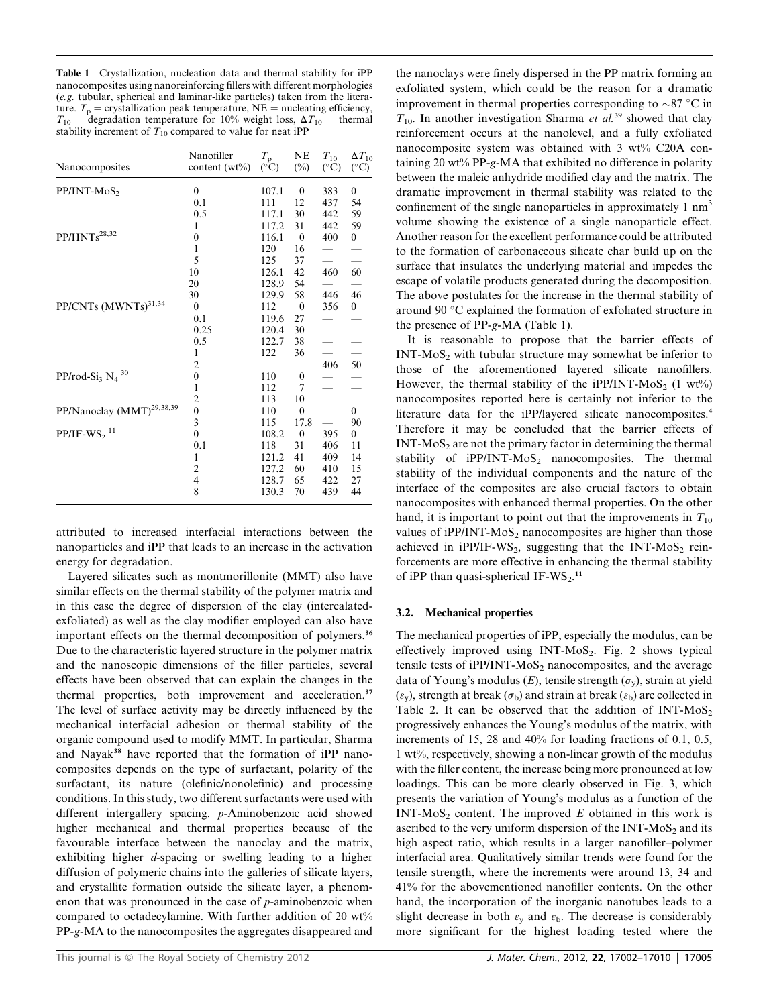Table 1 Crystallization, nucleation data and thermal stability for iPP nanocomposites using nanoreinforcing fillers with different morphologies (e.g. tubular, spherical and laminar-like particles) taken from the literature.  $T_p$  = crystallization peak temperature, NE = nucleating efficiency,  $T_{10}$  = degradation temperature for 10% weight loss,  $\Delta T_{10}$  = thermal stability increment of  $T_{10}$  compared to value for neat iPP

| $\mathbf{0}$<br>$PP/INT-MoS2$<br>107.1<br>383<br>$\boldsymbol{0}$<br>$\boldsymbol{0}$<br>0.1<br>111<br>12<br>437<br>54<br>30<br>59<br>117.1<br>442<br>0.5<br>59<br>117.2<br>31<br>442<br>1<br>PP/HNTs <sup>28,32</sup><br>400<br>$\boldsymbol{0}$<br>$\boldsymbol{0}$<br>116.1<br>$\mathbf{0}$<br>1<br>120<br>16<br>5<br>37<br>125<br>60<br>10<br>42<br>460<br>126.1<br>54<br>20<br>128.9<br>46<br>30<br>129.9<br>58<br>446<br>PP/CNTs (MWNTs) <sup>31,34</sup><br>$\mathbf{0}$<br>112<br>$\mathbf{0}$<br>356<br>$\boldsymbol{0}$<br>0.1<br>119.6<br>27<br>0.25<br>120.4<br>30<br>0.5<br>38<br>122.7<br>122<br>36<br>1<br>50<br>$\overline{2}$<br>406<br>PP/rod-Si <sub>3</sub> $N_4$ <sup>30</sup><br>$\boldsymbol{0}$<br>110<br>$\boldsymbol{0}$<br>1<br>7<br>112<br>$\overline{c}$<br>113<br>10<br>PP/Nanoclay (MMT) <sup>29,38,39</sup><br>$\overline{0}$<br>110<br>$\mathbf{0}$<br>$\overline{0}$<br>3<br>17.8<br>90<br>115<br>$PP/IF-WS2$ <sup>11</sup><br>$\overline{0}$<br>108.2<br>$\mathbf{0}$<br>395<br>0<br>118<br>31<br>0.1<br>406<br>11<br>121.2<br>41<br>409<br>1<br>14<br>$\overline{2}$<br>127.2<br>60<br>410<br>15<br>$\overline{4}$<br>128.7<br>65<br>27<br>422<br>8<br>130.3<br>70<br>439<br>44 | Nanocomposites | Nanofiller<br>content $(wt\%)$ | $T_{\rm p}$<br>$(^\circ C)$ | NE<br>$(\%)$ | $T_{10}$<br>$(^\circ C)$ | $\Delta T_{10}$<br>$(^\circ C)$ |
|---------------------------------------------------------------------------------------------------------------------------------------------------------------------------------------------------------------------------------------------------------------------------------------------------------------------------------------------------------------------------------------------------------------------------------------------------------------------------------------------------------------------------------------------------------------------------------------------------------------------------------------------------------------------------------------------------------------------------------------------------------------------------------------------------------------------------------------------------------------------------------------------------------------------------------------------------------------------------------------------------------------------------------------------------------------------------------------------------------------------------------------------------------------------------------------------------------------------|----------------|--------------------------------|-----------------------------|--------------|--------------------------|---------------------------------|
|                                                                                                                                                                                                                                                                                                                                                                                                                                                                                                                                                                                                                                                                                                                                                                                                                                                                                                                                                                                                                                                                                                                                                                                                                     |                |                                |                             |              |                          |                                 |
|                                                                                                                                                                                                                                                                                                                                                                                                                                                                                                                                                                                                                                                                                                                                                                                                                                                                                                                                                                                                                                                                                                                                                                                                                     |                |                                |                             |              |                          |                                 |
|                                                                                                                                                                                                                                                                                                                                                                                                                                                                                                                                                                                                                                                                                                                                                                                                                                                                                                                                                                                                                                                                                                                                                                                                                     |                |                                |                             |              |                          |                                 |
|                                                                                                                                                                                                                                                                                                                                                                                                                                                                                                                                                                                                                                                                                                                                                                                                                                                                                                                                                                                                                                                                                                                                                                                                                     |                |                                |                             |              |                          |                                 |
|                                                                                                                                                                                                                                                                                                                                                                                                                                                                                                                                                                                                                                                                                                                                                                                                                                                                                                                                                                                                                                                                                                                                                                                                                     |                |                                |                             |              |                          |                                 |
|                                                                                                                                                                                                                                                                                                                                                                                                                                                                                                                                                                                                                                                                                                                                                                                                                                                                                                                                                                                                                                                                                                                                                                                                                     |                |                                |                             |              |                          |                                 |
|                                                                                                                                                                                                                                                                                                                                                                                                                                                                                                                                                                                                                                                                                                                                                                                                                                                                                                                                                                                                                                                                                                                                                                                                                     |                |                                |                             |              |                          |                                 |
|                                                                                                                                                                                                                                                                                                                                                                                                                                                                                                                                                                                                                                                                                                                                                                                                                                                                                                                                                                                                                                                                                                                                                                                                                     |                |                                |                             |              |                          |                                 |
|                                                                                                                                                                                                                                                                                                                                                                                                                                                                                                                                                                                                                                                                                                                                                                                                                                                                                                                                                                                                                                                                                                                                                                                                                     |                |                                |                             |              |                          |                                 |
|                                                                                                                                                                                                                                                                                                                                                                                                                                                                                                                                                                                                                                                                                                                                                                                                                                                                                                                                                                                                                                                                                                                                                                                                                     |                |                                |                             |              |                          |                                 |
|                                                                                                                                                                                                                                                                                                                                                                                                                                                                                                                                                                                                                                                                                                                                                                                                                                                                                                                                                                                                                                                                                                                                                                                                                     |                |                                |                             |              |                          |                                 |
|                                                                                                                                                                                                                                                                                                                                                                                                                                                                                                                                                                                                                                                                                                                                                                                                                                                                                                                                                                                                                                                                                                                                                                                                                     |                |                                |                             |              |                          |                                 |
|                                                                                                                                                                                                                                                                                                                                                                                                                                                                                                                                                                                                                                                                                                                                                                                                                                                                                                                                                                                                                                                                                                                                                                                                                     |                |                                |                             |              |                          |                                 |
|                                                                                                                                                                                                                                                                                                                                                                                                                                                                                                                                                                                                                                                                                                                                                                                                                                                                                                                                                                                                                                                                                                                                                                                                                     |                |                                |                             |              |                          |                                 |
|                                                                                                                                                                                                                                                                                                                                                                                                                                                                                                                                                                                                                                                                                                                                                                                                                                                                                                                                                                                                                                                                                                                                                                                                                     |                |                                |                             |              |                          |                                 |
|                                                                                                                                                                                                                                                                                                                                                                                                                                                                                                                                                                                                                                                                                                                                                                                                                                                                                                                                                                                                                                                                                                                                                                                                                     |                |                                |                             |              |                          |                                 |
|                                                                                                                                                                                                                                                                                                                                                                                                                                                                                                                                                                                                                                                                                                                                                                                                                                                                                                                                                                                                                                                                                                                                                                                                                     |                |                                |                             |              |                          |                                 |
|                                                                                                                                                                                                                                                                                                                                                                                                                                                                                                                                                                                                                                                                                                                                                                                                                                                                                                                                                                                                                                                                                                                                                                                                                     |                |                                |                             |              |                          |                                 |
|                                                                                                                                                                                                                                                                                                                                                                                                                                                                                                                                                                                                                                                                                                                                                                                                                                                                                                                                                                                                                                                                                                                                                                                                                     |                |                                |                             |              |                          |                                 |
|                                                                                                                                                                                                                                                                                                                                                                                                                                                                                                                                                                                                                                                                                                                                                                                                                                                                                                                                                                                                                                                                                                                                                                                                                     |                |                                |                             |              |                          |                                 |
|                                                                                                                                                                                                                                                                                                                                                                                                                                                                                                                                                                                                                                                                                                                                                                                                                                                                                                                                                                                                                                                                                                                                                                                                                     |                |                                |                             |              |                          |                                 |
|                                                                                                                                                                                                                                                                                                                                                                                                                                                                                                                                                                                                                                                                                                                                                                                                                                                                                                                                                                                                                                                                                                                                                                                                                     |                |                                |                             |              |                          |                                 |
|                                                                                                                                                                                                                                                                                                                                                                                                                                                                                                                                                                                                                                                                                                                                                                                                                                                                                                                                                                                                                                                                                                                                                                                                                     |                |                                |                             |              |                          |                                 |
|                                                                                                                                                                                                                                                                                                                                                                                                                                                                                                                                                                                                                                                                                                                                                                                                                                                                                                                                                                                                                                                                                                                                                                                                                     |                |                                |                             |              |                          |                                 |
|                                                                                                                                                                                                                                                                                                                                                                                                                                                                                                                                                                                                                                                                                                                                                                                                                                                                                                                                                                                                                                                                                                                                                                                                                     |                |                                |                             |              |                          |                                 |
|                                                                                                                                                                                                                                                                                                                                                                                                                                                                                                                                                                                                                                                                                                                                                                                                                                                                                                                                                                                                                                                                                                                                                                                                                     |                |                                |                             |              |                          |                                 |
|                                                                                                                                                                                                                                                                                                                                                                                                                                                                                                                                                                                                                                                                                                                                                                                                                                                                                                                                                                                                                                                                                                                                                                                                                     |                |                                |                             |              |                          |                                 |

attributed to increased interfacial interactions between the nanoparticles and iPP that leads to an increase in the activation energy for degradation.

Layered silicates such as montmorillonite (MMT) also have similar effects on the thermal stability of the polymer matrix and in this case the degree of dispersion of the clay (intercalatedexfoliated) as well as the clay modifier employed can also have important effects on the thermal decomposition of polymers.<sup>36</sup> Due to the characteristic layered structure in the polymer matrix and the nanoscopic dimensions of the filler particles, several effects have been observed that can explain the changes in the thermal properties, both improvement and acceleration.<sup>37</sup> The level of surface activity may be directly influenced by the mechanical interfacial adhesion or thermal stability of the organic compound used to modify MMT. In particular, Sharma and Nayak<sup>38</sup> have reported that the formation of iPP nanocomposites depends on the type of surfactant, polarity of the surfactant, its nature (olefinic/nonolefinic) and processing conditions. In this study, two different surfactants were used with different intergallery spacing. p-Aminobenzoic acid showed higher mechanical and thermal properties because of the favourable interface between the nanoclay and the matrix, exhibiting higher d-spacing or swelling leading to a higher diffusion of polymeric chains into the galleries of silicate layers, and crystallite formation outside the silicate layer, a phenomenon that was pronounced in the case of p-aminobenzoic when compared to octadecylamine. With further addition of 20 wt% PP-g-MA to the nanocomposites the aggregates disappeared and

the nanoclays were finely dispersed in the PP matrix forming an exfoliated system, which could be the reason for a dramatic improvement in thermal properties corresponding to  $\sim 87$  °C in  $T_{10}$ . In another investigation Sharma et al.<sup>39</sup> showed that clay reinforcement occurs at the nanolevel, and a fully exfoliated nanocomposite system was obtained with 3 wt% C20A containing 20 wt% PP-g-MA that exhibited no difference in polarity between the maleic anhydride modified clay and the matrix. The dramatic improvement in thermal stability was related to the confinement of the single nanoparticles in approximately  $1 \text{ nm}^3$ volume showing the existence of a single nanoparticle effect. Another reason for the excellent performance could be attributed to the formation of carbonaceous silicate char build up on the surface that insulates the underlying material and impedes the escape of volatile products generated during the decomposition. The above postulates for the increase in the thermal stability of around 90 °C explained the formation of exfoliated structure in the presence of PP-g-MA (Table 1).

It is reasonable to propose that the barrier effects of  $INT-MoS<sub>2</sub>$  with tubular structure may somewhat be inferior to those of the aforementioned layered silicate nanofillers. However, the thermal stability of the iPP/INT-MoS<sub>2</sub> (1 wt<sup> $\%$ </sup>) nanocomposites reported here is certainly not inferior to the literature data for the iPP/layered silicate nanocomposites.<sup>4</sup> Therefore it may be concluded that the barrier effects of  $INT-MoS<sub>2</sub>$  are not the primary factor in determining the thermal stability of  $iPP/INT-MoS<sub>2</sub>$  nanocomposites. The thermal stability of the individual components and the nature of the interface of the composites are also crucial factors to obtain nanocomposites with enhanced thermal properties. On the other hand, it is important to point out that the improvements in  $T_{10}$ values of  $iPP/INT-MoS<sub>2</sub>$  nanocomposites are higher than those achieved in iPP/IF-WS<sub>2</sub>, suggesting that the INT-MoS<sub>2</sub> reinforcements are more effective in enhancing the thermal stability of iPP than quasi-spherical IF-WS<sub>2</sub>.<sup>11</sup>

#### 3.2. Mechanical properties

The mechanical properties of iPP, especially the modulus, can be effectively improved using INT-MoS<sub>2</sub>. Fig. 2 shows typical tensile tests of  $iPP/INT-MoS<sub>2</sub>$  nanocomposites, and the average data of Young's modulus (E), tensile strength  $(\sigma_{v})$ , strain at yield  $(\varepsilon_{y})$ , strength at break  $(\sigma_{b})$  and strain at break  $(\varepsilon_{b})$  are collected in Table 2. It can be observed that the addition of  $INT-MoS<sub>2</sub>$ progressively enhances the Young's modulus of the matrix, with increments of 15, 28 and 40% for loading fractions of 0.1, 0.5, 1 wt%, respectively, showing a non-linear growth of the modulus with the filler content, the increase being more pronounced at low loadings. This can be more clearly observed in Fig. 3, which presents the variation of Young's modulus as a function of the INT-MoS<sub>2</sub> content. The improved  $E$  obtained in this work is ascribed to the very uniform dispersion of the  $INT-MoS<sub>2</sub>$  and its high aspect ratio, which results in a larger nanofiller–polymer interfacial area. Qualitatively similar trends were found for the tensile strength, where the increments were around 13, 34 and 41% for the abovementioned nanofiller contents. On the other hand, the incorporation of the inorganic nanotubes leads to a slight decrease in both  $\varepsilon_y$  and  $\varepsilon_b$ . The decrease is considerably more significant for the highest loading tested where the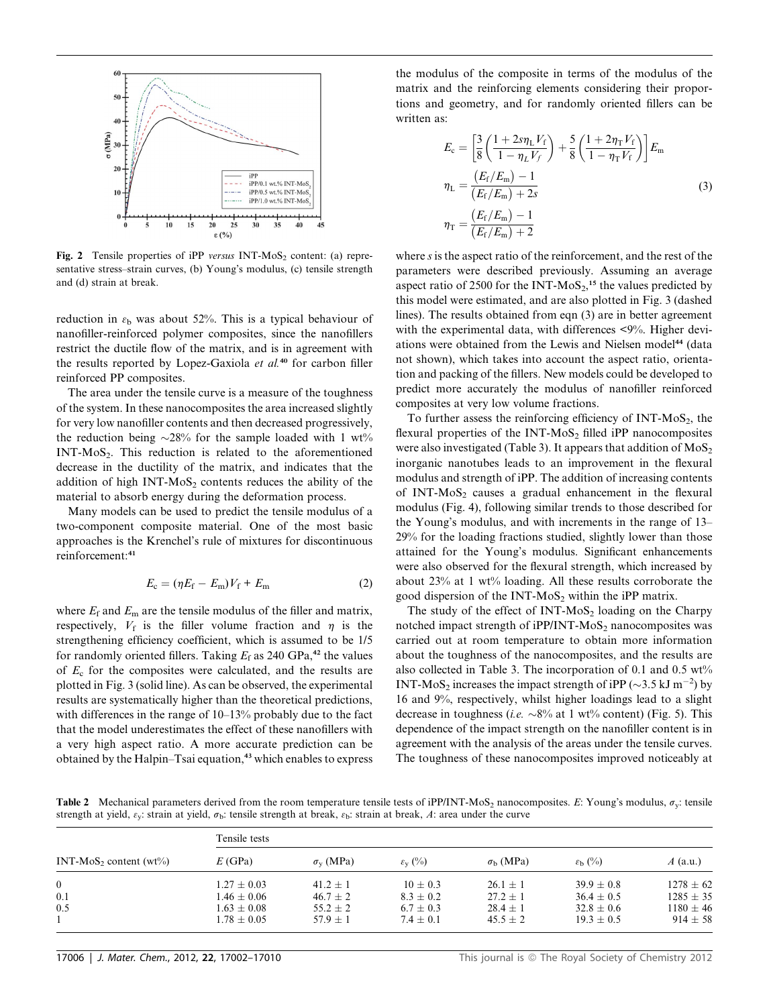

Fig. 2 Tensile properties of iPP versus INT-MoS<sub>2</sub> content: (a) representative stress–strain curves, (b) Young's modulus, (c) tensile strength and (d) strain at break.

reduction in  $\varepsilon_b$  was about 52%. This is a typical behaviour of nanofiller-reinforced polymer composites, since the nanofillers restrict the ductile flow of the matrix, and is in agreement with the results reported by Lopez-Gaxiola et al.<sup>40</sup> for carbon filler reinforced PP composites.

The area under the tensile curve is a measure of the toughness of the system. In these nanocomposites the area increased slightly for very low nanofiller contents and then decreased progressively, the reduction being  $\sim$ 28% for the sample loaded with 1 wt% INT-MoS<sub>2</sub>. This reduction is related to the aforementioned decrease in the ductility of the matrix, and indicates that the addition of high  $INT-MoS<sub>2</sub>$  contents reduces the ability of the material to absorb energy during the deformation process.

Many models can be used to predict the tensile modulus of a two-component composite material. One of the most basic approaches is the Krenchel's rule of mixtures for discontinuous reinforcement:<sup>41</sup>

$$
E_{\rm c} = (\eta E_{\rm f} - E_{\rm m})V_{\rm f} + E_{\rm m} \tag{2}
$$

where  $E_f$  and  $E_m$  are the tensile modulus of the filler and matrix, respectively,  $V_f$  is the filler volume fraction and  $\eta$  is the strengthening efficiency coefficient, which is assumed to be 1/5 for randomly oriented fillers. Taking  $E_f$  as 240 GPa,<sup>42</sup> the values of  $E_c$  for the composites were calculated, and the results are plotted in Fig. 3 (solid line). As can be observed, the experimental results are systematically higher than the theoretical predictions, with differences in the range of 10–13% probably due to the fact that the model underestimates the effect of these nanofillers with a very high aspect ratio. A more accurate prediction can be obtained by the Halpin–Tsai equation,<sup>43</sup> which enables to express

the modulus of the composite in terms of the modulus of the matrix and the reinforcing elements considering their proportions and geometry, and for randomly oriented fillers can be written as:

$$
E_{\rm c} = \left[ \frac{3}{8} \left( \frac{1 + 2s\eta_{\rm L} V_{\rm f}}{1 - \eta_{\rm L} V_{\rm f}} \right) + \frac{5}{8} \left( \frac{1 + 2\eta_{\rm T} V_{\rm f}}{1 - \eta_{\rm T} V_{\rm f}} \right) \right] E_{\rm m}
$$
  

$$
\eta_{\rm L} = \frac{(E_{\rm f}/E_{\rm m}) - 1}{(E_{\rm f}/E_{\rm m}) + 2s}
$$
  

$$
\eta_{\rm T} = \frac{(E_{\rm f}/E_{\rm m}) - 1}{(E_{\rm f}/E_{\rm m}) + 2}
$$
 (3)

where *s* is the aspect ratio of the reinforcement, and the rest of the parameters were described previously. Assuming an average aspect ratio of 2500 for the INT- $MoS<sub>2</sub>$ ,<sup>15</sup> the values predicted by this model were estimated, and are also plotted in Fig. 3 (dashed lines). The results obtained from eqn (3) are in better agreement with the experimental data, with differences <9%. Higher deviations were obtained from the Lewis and Nielsen model<sup>44</sup> (data not shown), which takes into account the aspect ratio, orientation and packing of the fillers. New models could be developed to predict more accurately the modulus of nanofiller reinforced composites at very low volume fractions.

To further assess the reinforcing efficiency of INT-MoS<sub>2</sub>, the flexural properties of the INT-MoS<sub>2</sub> filled iPP nanocomposites were also investigated (Table 3). It appears that addition of  $MoS<sub>2</sub>$ inorganic nanotubes leads to an improvement in the flexural modulus and strength of iPP. The addition of increasing contents of INT-MoS<sub>2</sub> causes a gradual enhancement in the flexural modulus (Fig. 4), following similar trends to those described for the Young's modulus, and with increments in the range of 13– 29% for the loading fractions studied, slightly lower than those attained for the Young's modulus. Significant enhancements were also observed for the flexural strength, which increased by about 23% at 1 wt% loading. All these results corroborate the good dispersion of the INT-MoS<sub>2</sub> within the iPP matrix.

The study of the effect of  $INT-MoS<sub>2</sub>$  loading on the Charpy notched impact strength of  $iPP/INT-MoS<sub>2</sub>$  nanocomposites was carried out at room temperature to obtain more information about the toughness of the nanocomposites, and the results are also collected in Table 3. The incorporation of 0.1 and 0.5 wt% INT-MoS<sub>2</sub> increases the impact strength of iPP ( $\sim$ 3.5 kJ m<sup>-2</sup>) by 16 and 9%, respectively, whilst higher loadings lead to a slight decrease in toughness (*i.e.*  $\sim 8\%$  at 1 wt% content) (Fig. 5). This dependence of the impact strength on the nanofiller content is in agreement with the analysis of the areas under the tensile curves. The toughness of these nanocomposites improved noticeably at

Table 2 Mechanical parameters derived from the room temperature tensile tests of iPP/INT-MoS<sub>2</sub> nanocomposites. E: Young's modulus,  $\sigma_{\rm v}$ : tensile strength at yield,  $\varepsilon_{\rm v}$ : strain at yield,  $\sigma_{\rm b}$ : tensile strength at break,  $\varepsilon_{\rm b}$ : strain at break, A: area under the curve

| $INT-MoS2 content (wt0)$ | Tensile tests   |                        |                           |                        |                           |               |  |
|--------------------------|-----------------|------------------------|---------------------------|------------------------|---------------------------|---------------|--|
|                          | E(GPa)          | $\sigma_{\rm v}$ (MPa) | $\varepsilon_{\rm v}$ (%) | $\sigma_{\rm b}$ (MPa) | $\varepsilon_{\rm b}$ (%) | $A$ (a.u.)    |  |
| 0                        | $1.27 + 0.03$   | $41.2 + 1$             | $10 + 0.3$                | $26.1 + 1$             | $39.9 + 0.8$              | $1278 \pm 62$ |  |
| 0.1                      | $1.46 + 0.06$   | $46.7 + 2$             | $8.3 + 0.2$               | $27.2 + 1$             | $36.4 + 0.5$              | $1285 \pm 35$ |  |
| $0.5^{\circ}$            | $1.63 + 0.08$   | $55.2 + 2$             | $6.7 + 0.3$               | $28.4 + 1$             | $32.8 + 0.6$              | $1180 \pm 46$ |  |
|                          | $1.78 \pm 0.05$ | $57.9 + 1$             | $7.4 + 0.1$               | $45.5 + 2$             | $19.3 + 0.5$              | $914 \pm 58$  |  |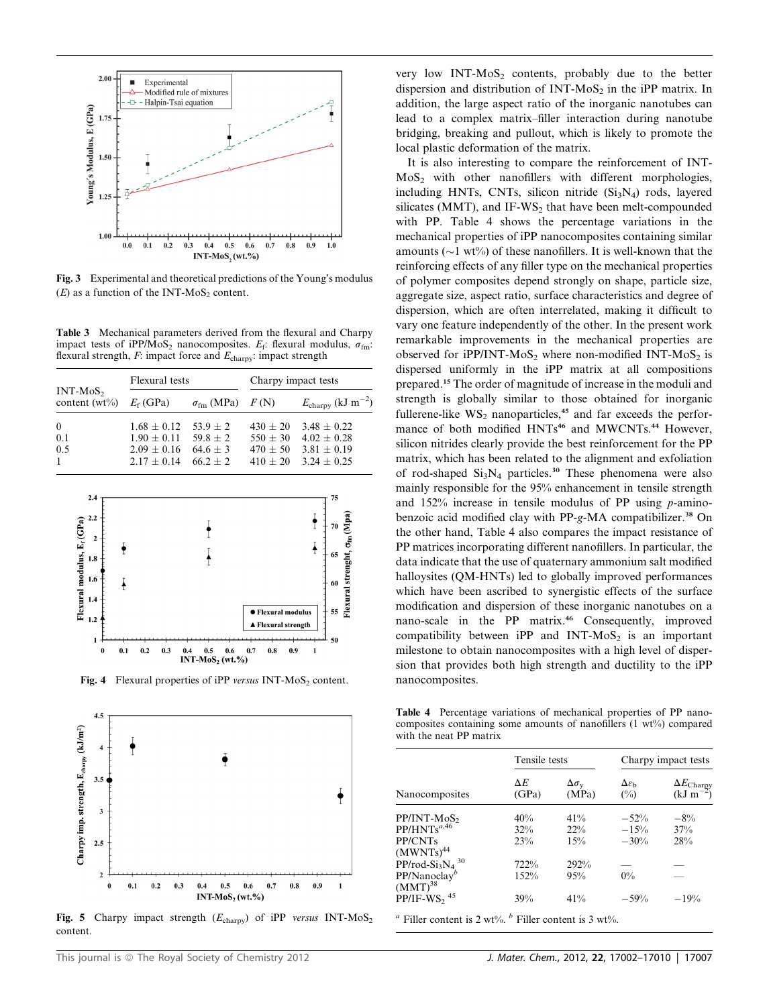

Fig. 3 Experimental and theoretical predictions of the Young's modulus  $(E)$  as a function of the INT-MoS<sub>2</sub> content.

Table 3 Mechanical parameters derived from the flexural and Charpy impact tests of iPP/MoS<sub>2</sub> nanocomposites.  $E_f$ : flexural modulus,  $\sigma_{fm}$ : flexural strength,  $F$ : impact force and  $E_{\text{chary}}$ : impact strength

| $INT-MoS2$<br>content $(wt\%)$ $E_f$ (GPa) | Flexural tests                                                                         |                                | Charpy impact tests                    |                                                                             |  |
|--------------------------------------------|----------------------------------------------------------------------------------------|--------------------------------|----------------------------------------|-----------------------------------------------------------------------------|--|
|                                            |                                                                                        | $\sigma_{\rm fm}$ (MPa) $F(N)$ |                                        | $E_{\rm{chary}}$ (kJ m <sup>-2</sup> )                                      |  |
| $\theta$<br>0.1<br>0.5<br>$\mathbf{1}$     | $1.68 + 0.12$ 53.9 + 2<br>$1.90 + 0.11$ $59.8 + 2$<br>$2.09 \pm 0.16$<br>$2.17 + 0.14$ | $64.6 + 3$<br>$662 + 2$        | $430 + 20$<br>$550 + 30$<br>$470 + 50$ | $3.48 + 0.22$<br>$4.02 \pm 0.28$<br>$3.81 + 0.19$<br>$410 + 20$ 3.24 + 0.25 |  |



Fig. 4 Flexural properties of iPP versus INT-MoS<sub>2</sub> content.



Fig. 5 Charpy impact strength ( $E_{\text{chary}}$ ) of iPP versus INT-MoS<sub>2</sub> content.

very low  $INT-MoS<sub>2</sub>$  contents, probably due to the better dispersion and distribution of INT-MoS<sub>2</sub> in the iPP matrix. In addition, the large aspect ratio of the inorganic nanotubes can lead to a complex matrix–filler interaction during nanotube bridging, breaking and pullout, which is likely to promote the local plastic deformation of the matrix.

It is also interesting to compare the reinforcement of INT-MoS<sub>2</sub> with other nanofillers with different morphologies, including HNTs, CNTs, silicon nitride  $(Si<sub>3</sub>N<sub>4</sub>)$  rods, layered silicates (MMT), and IF-WS<sub>2</sub> that have been melt-compounded with PP. Table 4 shows the percentage variations in the mechanical properties of iPP nanocomposites containing similar amounts ( $\sim$ 1 wt%) of these nanofillers. It is well-known that the reinforcing effects of any filler type on the mechanical properties of polymer composites depend strongly on shape, particle size, aggregate size, aspect ratio, surface characteristics and degree of dispersion, which are often interrelated, making it difficult to vary one feature independently of the other. In the present work remarkable improvements in the mechanical properties are observed for  $iPP/INT-MoS<sub>2</sub>$  where non-modified INT-MoS<sub>2</sub> is dispersed uniformly in the iPP matrix at all compositions prepared.<sup>15</sup> The order of magnitude of increase in the moduli and strength is globally similar to those obtained for inorganic fullerene-like  $WS_2$  nanoparticles,<sup>45</sup> and far exceeds the performance of both modified HNTs<sup>46</sup> and MWCNTs.<sup>44</sup> However, silicon nitrides clearly provide the best reinforcement for the PP matrix, which has been related to the alignment and exfoliation of rod-shaped  $Si<sub>3</sub>N<sub>4</sub>$  particles.<sup>30</sup> These phenomena were also mainly responsible for the 95% enhancement in tensile strength and 152% increase in tensile modulus of PP using p-aminobenzoic acid modified clay with PP-g-MA compatibilizer.<sup>38</sup> On the other hand, Table 4 also compares the impact resistance of PP matrices incorporating different nanofillers. In particular, the data indicate that the use of quaternary ammonium salt modified halloysites (QM-HNTs) led to globally improved performances which have been ascribed to synergistic effects of the surface modification and dispersion of these inorganic nanotubes on a nano-scale in the PP matrix.<sup>46</sup> Consequently, improved compatibility between iPP and INT-MoS<sub>2</sub> is an important milestone to obtain nanocomposites with a high level of dispersion that provides both high strength and ductility to the iPP nanocomposites.

Table 4 Percentage variations of mechanical properties of PP nanocomposites containing some amounts of nanofillers (1 wt%) compared with the neat PP matrix

|                                             | Tensile tests       |                                  | Charpy impact tests                   |                                                    |  |
|---------------------------------------------|---------------------|----------------------------------|---------------------------------------|----------------------------------------------------|--|
| Nanocomposites                              | $\Delta E$<br>(GPa) | $\Delta \sigma_{\rm v}$<br>(MPa) | $\Delta\varepsilon_{\rm h}$<br>$(\%)$ | $\Delta E_{\text{Chary}}$<br>(kJ m <sup>-2</sup> ) |  |
| PP/INT-MoS <sub>2</sub>                     | 40%                 | 41%                              | $-52%$                                | $-8\%$                                             |  |
| $PP/HNTs^{a,46}$                            | 32%                 | $22\%$                           | $-15%$                                | 37%                                                |  |
| PP/CNTs<br>(MWNTs) <sup>44</sup>            | 23%                 | 15%                              | $-30%$                                | 28%                                                |  |
| $PP/rod-Si3N4$ <sup>30</sup>                | 722%                | 292%                             |                                       |                                                    |  |
| $PP/N$ anoclay <sup>b</sup><br>$(MMT)^{38}$ | 152%                | 95%                              | $0\%$                                 |                                                    |  |
| $PP/IF-WS2$ <sup>45</sup>                   | 39%                 | 41%                              | $-59%$                                | $-19%$                                             |  |

<sup>*a*</sup> Filler content is 2 wt%. <sup>*b*</sup> Filler content is 3 wt%.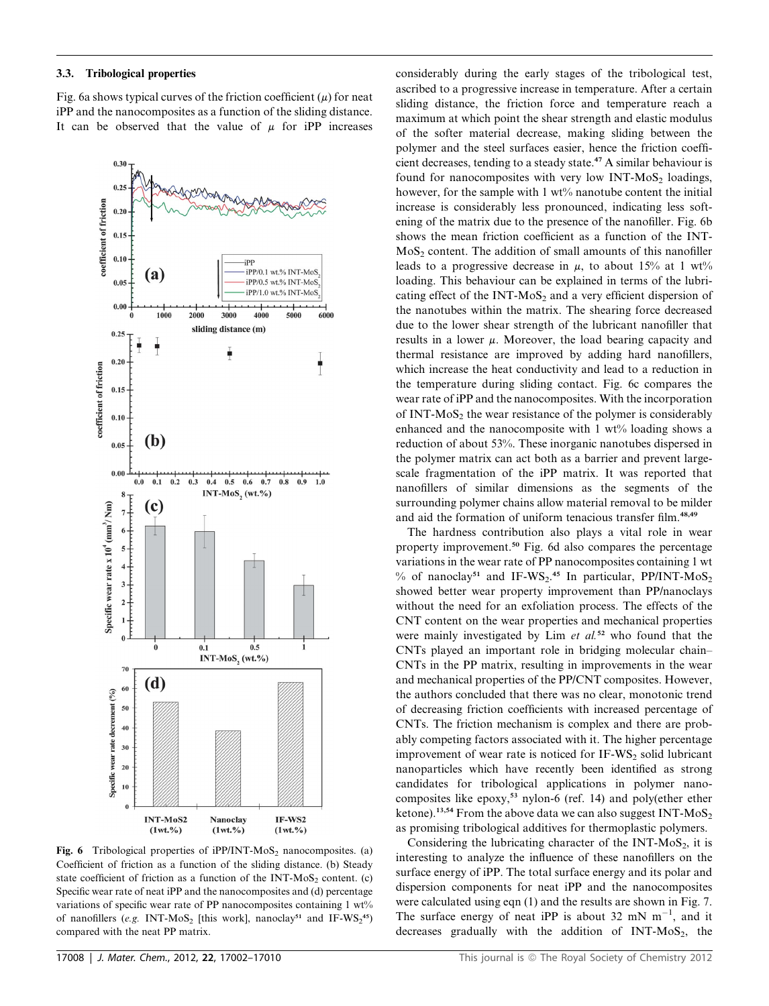3.3. Tribological properties

Fig. 6a shows typical curves of the friction coefficient  $(u)$  for neat iPP and the nanocomposites as a function of the sliding distance. It can be observed that the value of  $\mu$  for iPP increases



Fig. 6 Tribological properties of  $iPP/INT-MoS<sub>2</sub>$  nanocomposites. (a) Coefficient of friction as a function of the sliding distance. (b) Steady state coefficient of friction as a function of the INT-MoS<sub>2</sub> content. (c) Specific wear rate of neat iPP and the nanocomposites and (d) percentage variations of specific wear rate of PP nanocomposites containing 1 wt% of nanofillers (e.g. INT-MoS<sub>2</sub> [this work], nanoclay<sup>51</sup> and IF-WS<sub>2</sub><sup>45</sup>) compared with the neat PP matrix.

considerably during the early stages of the tribological test, ascribed to a progressive increase in temperature. After a certain sliding distance, the friction force and temperature reach a maximum at which point the shear strength and elastic modulus of the softer material decrease, making sliding between the polymer and the steel surfaces easier, hence the friction coefficient decreases, tending to a steady state.<sup>47</sup> A similar behaviour is found for nanocomposites with very low INT-MoS<sub>2</sub> loadings, however, for the sample with 1 wt% nanotube content the initial increase is considerably less pronounced, indicating less softening of the matrix due to the presence of the nanofiller. Fig. 6b shows the mean friction coefficient as a function of the INT- $MoS<sub>2</sub> content. The addition of small amounts of this nanofiller$ leads to a progressive decrease in  $\mu$ , to about 15% at 1 wt% loading. This behaviour can be explained in terms of the lubricating effect of the INT-MoS<sub>2</sub> and a very efficient dispersion of the nanotubes within the matrix. The shearing force decreased due to the lower shear strength of the lubricant nanofiller that results in a lower  $\mu$ . Moreover, the load bearing capacity and thermal resistance are improved by adding hard nanofillers, which increase the heat conductivity and lead to a reduction in the temperature during sliding contact. Fig. 6c compares the wear rate of iPP and the nanocomposites. With the incorporation of INT- $MoS<sub>2</sub>$  the wear resistance of the polymer is considerably enhanced and the nanocomposite with  $1 \text{ wt}$ % loading shows a reduction of about 53%. These inorganic nanotubes dispersed in the polymer matrix can act both as a barrier and prevent largescale fragmentation of the iPP matrix. It was reported that nanofillers of similar dimensions as the segments of the surrounding polymer chains allow material removal to be milder and aid the formation of uniform tenacious transfer film.<sup>48,49</sup>

The hardness contribution also plays a vital role in wear property improvement.<sup>50</sup> Fig. 6d also compares the percentage variations in the wear rate of PP nanocomposites containing 1 wt % of nanoclay<sup>51</sup> and IF-WS<sub>2</sub>.<sup>45</sup> In particular, PP/INT-MoS<sub>2</sub> showed better wear property improvement than PP/nanoclays without the need for an exfoliation process. The effects of the CNT content on the wear properties and mechanical properties were mainly investigated by Lim  $et$  al.<sup>52</sup> who found that the CNTs played an important role in bridging molecular chain– CNTs in the PP matrix, resulting in improvements in the wear and mechanical properties of the PP/CNT composites. However, the authors concluded that there was no clear, monotonic trend of decreasing friction coefficients with increased percentage of CNTs. The friction mechanism is complex and there are probably competing factors associated with it. The higher percentage improvement of wear rate is noticed for  $IF-WS<sub>2</sub>$  solid lubricant nanoparticles which have recently been identified as strong candidates for tribological applications in polymer nanocomposites like epoxy,<sup>53</sup> nylon-6 (ref. 14) and poly(ether ether ketone).<sup>13,54</sup> From the above data we can also suggest INT-MoS<sub>2</sub> as promising tribological additives for thermoplastic polymers.

Considering the lubricating character of the INT- $MoS<sub>2</sub>$ , it is interesting to analyze the influence of these nanofillers on the surface energy of iPP. The total surface energy and its polar and dispersion components for neat iPP and the nanocomposites were calculated using eqn (1) and the results are shown in Fig. 7. The surface energy of neat iPP is about 32 mN  $m^{-1}$ , and it decreases gradually with the addition of  $INT-MoS<sub>2</sub>$ , the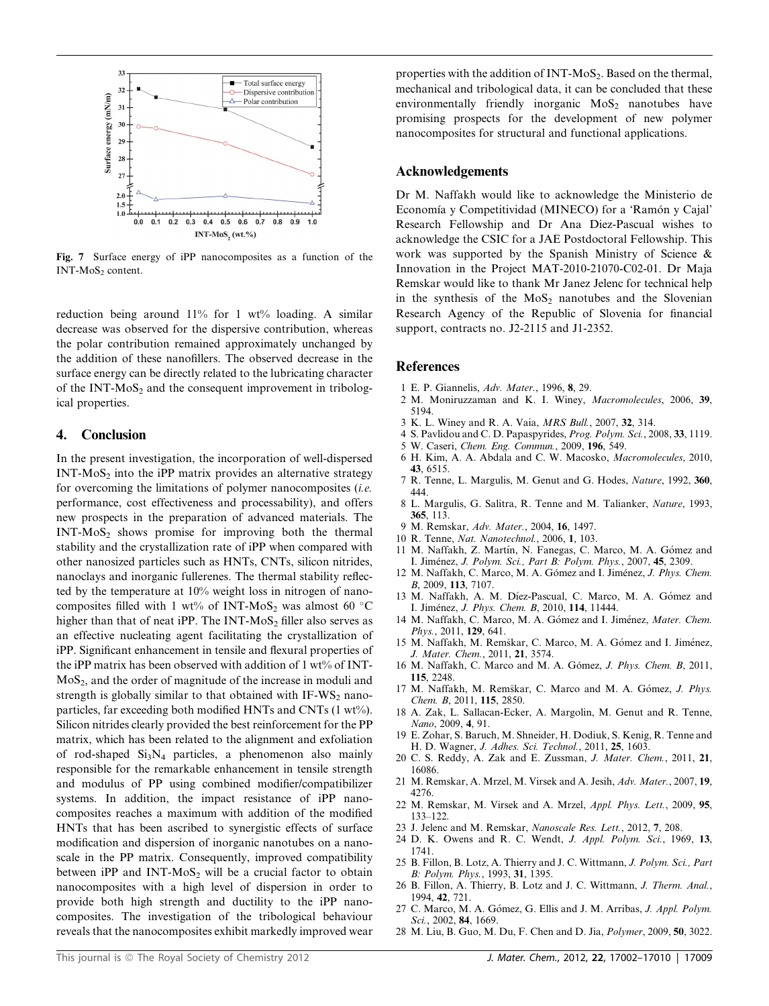

Fig. 7 Surface energy of iPP nanocomposites as a function of the INT-MoS<sub>2</sub> content.

reduction being around  $11\%$  for 1 wt% loading. A similar decrease was observed for the dispersive contribution, whereas the polar contribution remained approximately unchanged by the addition of these nanofillers. The observed decrease in the surface energy can be directly related to the lubricating character of the INT- $MoS<sub>2</sub>$  and the consequent improvement in tribological properties.

#### 4. Conclusion

In the present investigation, the incorporation of well-dispersed  $INT-MoS<sub>2</sub>$  into the iPP matrix provides an alternative strategy for overcoming the limitations of polymer nanocomposites (i.e. performance, cost effectiveness and processability), and offers new prospects in the preparation of advanced materials. The  $INT-MoS<sub>2</sub>$  shows promise for improving both the thermal stability and the crystallization rate of iPP when compared with other nanosized particles such as HNTs, CNTs, silicon nitrides, nanoclays and inorganic fullerenes. The thermal stability reflected by the temperature at 10% weight loss in nitrogen of nanocomposites filled with 1 wt% of INT-MoS<sub>2</sub> was almost 60  $\degree$ C higher than that of neat iPP. The INT-MoS<sub>2</sub> filler also serves as an effective nucleating agent facilitating the crystallization of iPP. Significant enhancement in tensile and flexural properties of the iPP matrix has been observed with addition of 1 wt% of INT- $MoS<sub>2</sub>$ , and the order of magnitude of the increase in moduli and strength is globally similar to that obtained with  $IF-WS<sub>2</sub>$  nanoparticles, far exceeding both modified HNTs and CNTs (1 wt%). Silicon nitrides clearly provided the best reinforcement for the PP matrix, which has been related to the alignment and exfoliation of rod-shaped  $Si<sub>3</sub>N<sub>4</sub>$  particles, a phenomenon also mainly responsible for the remarkable enhancement in tensile strength and modulus of PP using combined modifier/compatibilizer systems. In addition, the impact resistance of iPP nanocomposites reaches a maximum with addition of the modified HNTs that has been ascribed to synergistic effects of surface modification and dispersion of inorganic nanotubes on a nanoscale in the PP matrix. Consequently, improved compatibility between iPP and  $INT-MoS<sub>2</sub>$  will be a crucial factor to obtain nanocomposites with a high level of dispersion in order to provide both high strength and ductility to the iPP nanocomposites. The investigation of the tribological behaviour reveals that the nanocomposites exhibit markedly improved wear

properties with the addition of INT-MoS<sub>2</sub>. Based on the thermal, mechanical and tribological data, it can be concluded that these environmentally friendly inorganic  $MoS<sub>2</sub>$  nanotubes have promising prospects for the development of new polymer nanocomposites for structural and functional applications.

#### Acknowledgements

Dr M. Naffakh would like to acknowledge the Ministerio de Economía y Competitividad (MINECO) for a 'Ramón y Cajal' Research Fellowship and Dr Ana Diez-Pascual wishes to acknowledge the CSIC for a JAE Postdoctoral Fellowship. This work was supported by the Spanish Ministry of Science & Innovation in the Project MAT-2010-21070-C02-01. Dr Maja Remskar would like to thank Mr Janez Jelenc for technical help in the synthesis of the  $MoS<sub>2</sub>$  nanotubes and the Slovenian Research Agency of the Republic of Slovenia for financial support, contracts no. J2-2115 and J1-2352.

#### References

- 1 E. P. Giannelis, Adv. Mater., 1996, 8, 29.
- 2 M. Moniruzzaman and K. I. Winey, Macromolecules, 2006, 39, 5194.
- 3 K. L. Winey and R. A. Vaia, MRS Bull., 2007, 32, 314.
- 4 S. Pavlidou and C. D. Papaspyrides, Prog. Polym. Sci., 2008, 33, 1119.
- 5 W. Caseri, Chem. Eng. Commun., 2009, 196, 549. 6 H. Kim, A. A. Abdala and C. W. Macosko, Macromolecules, 2010, 43, 6515.
- 7 R. Tenne, L. Margulis, M. Genut and G. Hodes, Nature, 1992, 360, 444.
- 8 L. Margulis, G. Salitra, R. Tenne and M. Talianker, Nature, 1993, 365, 113.
- 9 M. Remskar, Adv. Mater., 2004, 16, 1497.
- 10 R. Tenne, Nat. Nanotechnol., 2006, 1, 103.
- 11 M. Naffakh, Z. Martín, N. Fanegas, C. Marco, M. A. Gómez and I. Jimenez, J. Polym. Sci., Part B: Polym. Phys., 2007, 45, 2309.
- 12 M. Naffakh, C. Marco, M. A. Gómez and I. Jiménez, J. Phys. Chem. B, 2009, 113, 7107.
- 13 M. Naffakh, A. M. Díez-Pascual, C. Marco, M. A. Gómez and I. Jimenez, J. Phys. Chem. B, 2010, 114, 11444.
- 14 M. Naffakh, C. Marco, M. A. Gómez and I. Jiménez, Mater. Chem. Phys., 2011, 129, 641.
- 15 M. Naffakh, M. Remškar, C. Marco, M. A. Gómez and I. Jiménez, J. Mater. Chem., 2011, 21, 3574.
- 16 M. Naffakh, C. Marco and M. A. Gómez, J. Phys. Chem. B, 2011, 115, 2248.
- 17 M. Naffakh, M. Remškar, C. Marco and M. A. Gómez, J. Phys. Chem. B, 2011, 115, 2850.
- 18 A. Zak, L. Sallacan-Ecker, A. Margolin, M. Genut and R. Tenne, Nano, 2009, 4, 91.
- 19 E. Zohar, S. Baruch, M. Shneider, H. Dodiuk, S. Kenig, R. Tenne and H. D. Wagner, J. Adhes. Sci. Technol., 2011, 25, 1603.
- 20 C. S. Reddy, A. Zak and E. Zussman, J. Mater. Chem., 2011, 21, 16086.
- 21 M. Remskar, A. Mrzel, M. Virsek and A. Jesih, Adv. Mater., 2007, 19, 4276.
- 22 M. Remskar, M. Virsek and A. Mrzel, Appl. Phys. Lett., 2009, 95, 133–122.
- 23 J. Jelenc and M. Remskar, Nanoscale Res. Lett., 2012, 7, 208.
- 24 D. K. Owens and R. C. Wendt, J. Appl. Polym. Sci., 1969, 13, 1741.
- 25 B. Fillon, B. Lotz, A. Thierry and J. C. Wittmann, J. Polym. Sci., Part B: Polym. Phys., 1993, 31, 1395.
- 26 B. Fillon, A. Thierry, B. Lotz and J. C. Wittmann, J. Therm. Anal., 1994, 42, 721.
- 27 C. Marco, M. A. Gómez, G. Ellis and J. M. Arribas, J. Appl. Polym. Sci., 2002, **84**, 1669.
- 28 M. Liu, B. Guo, M. Du, F. Chen and D. Jia, Polymer, 2009, 50, 3022.